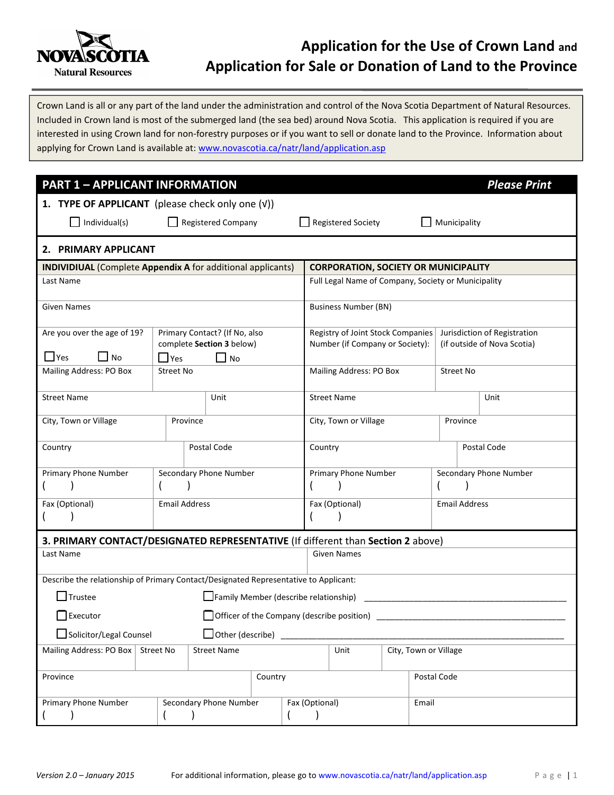

# Application for the Use of Crown Land and Application for Sale or Donation of Land to the Province

Crown Land is all or any part of the land under the administration and control of the Nova Scotia Department of Natural Resources. Included in Crown land is most of the submerged land (the sea bed) around Nova Scotia. This application is required if you are interested in using Crown land for non-forestry purposes or if you want to sell or donate land to the Province. Information about applying for Crown Land is available at: www.novascotia.ca/natr/land/application.asp

| <b>PART 1 - APPLICANT INFORMATION</b>                                                |                      |                                        |                |                       |                                                     |             |                       | <b>Please Print</b>          |
|--------------------------------------------------------------------------------------|----------------------|----------------------------------------|----------------|-----------------------|-----------------------------------------------------|-------------|-----------------------|------------------------------|
| 1. TYPE OF APPLICANT (please check only one (V))                                     |                      |                                        |                |                       |                                                     |             |                       |                              |
| Individual(s)<br>Registered Company<br>$\Box$ Registered Society                     |                      |                                        |                |                       |                                                     |             | Municipality          |                              |
| 2. PRIMARY APPLICANT                                                                 |                      |                                        |                |                       |                                                     |             |                       |                              |
| <b>INDIVIDIUAL</b> (Complete Appendix A for additional applicants)                   |                      |                                        |                |                       | <b>CORPORATION, SOCIETY OR MUNICIPALITY</b>         |             |                       |                              |
| Last Name                                                                            |                      |                                        |                |                       | Full Legal Name of Company, Society or Municipality |             |                       |                              |
| <b>Given Names</b>                                                                   |                      |                                        |                |                       | <b>Business Number (BN)</b>                         |             |                       |                              |
| Are you over the age of 19?                                                          |                      | Primary Contact? (If No, also          |                |                       | Registry of Joint Stock Companies                   |             |                       | Jurisdiction of Registration |
| $\Box$ No<br>$\Box$ Yes                                                              | $\Box$ Yes           | complete Section 3 below)<br>$\Box$ No |                |                       | Number (if Company or Society):                     |             |                       | (if outside of Nova Scotia)  |
| Mailing Address: PO Box                                                              | Street No            |                                        |                |                       | Mailing Address: PO Box                             |             |                       | <b>Street No</b>             |
| <b>Street Name</b>                                                                   |                      | Unit                                   |                |                       | <b>Street Name</b><br>Unit                          |             |                       |                              |
| City, Town or Village                                                                | Province             |                                        |                | City, Town or Village |                                                     |             | Province              |                              |
| Country<br>Postal Code                                                               |                      |                                        | Country        |                       |                                                     | Postal Code |                       |                              |
| Primary Phone Number                                                                 |                      | Secondary Phone Number                 |                |                       | Primary Phone Number                                |             |                       | Secondary Phone Number       |
|                                                                                      |                      |                                        |                |                       |                                                     |             |                       |                              |
| Fax (Optional)                                                                       | <b>Email Address</b> |                                        |                |                       | Fax (Optional)                                      |             |                       | <b>Email Address</b>         |
|                                                                                      |                      |                                        |                |                       |                                                     |             |                       |                              |
| 3. PRIMARY CONTACT/DESIGNATED REPRESENTATIVE (If different than Section 2 above)     |                      |                                        |                |                       |                                                     |             |                       |                              |
| Last Name                                                                            |                      |                                        |                |                       | <b>Given Names</b>                                  |             |                       |                              |
| Describe the relationship of Primary Contact/Designated Representative to Applicant: |                      |                                        |                |                       |                                                     |             |                       |                              |
| $\Box$ Trustee<br>Family Member (describe relationship)                              |                      |                                        |                |                       |                                                     |             |                       |                              |
| $\Box$ Executor<br>Officer of the Company (describe position)                        |                      |                                        |                |                       |                                                     |             |                       |                              |
| Solicitor/Legal Counsel<br>$\Box$ Other (describe)                                   |                      |                                        |                |                       |                                                     |             |                       |                              |
| Mailing Address: PO Box                                                              | Street No            | <b>Street Name</b>                     |                |                       | Unit                                                |             | City, Town or Village |                              |
| Province<br>Country                                                                  |                      |                                        |                | Postal Code           |                                                     |             |                       |                              |
| Primary Phone Number<br>Secondary Phone Number                                       |                      |                                        | Fax (Optional) | Email                 |                                                     |             |                       |                              |
|                                                                                      |                      |                                        |                |                       |                                                     |             |                       |                              |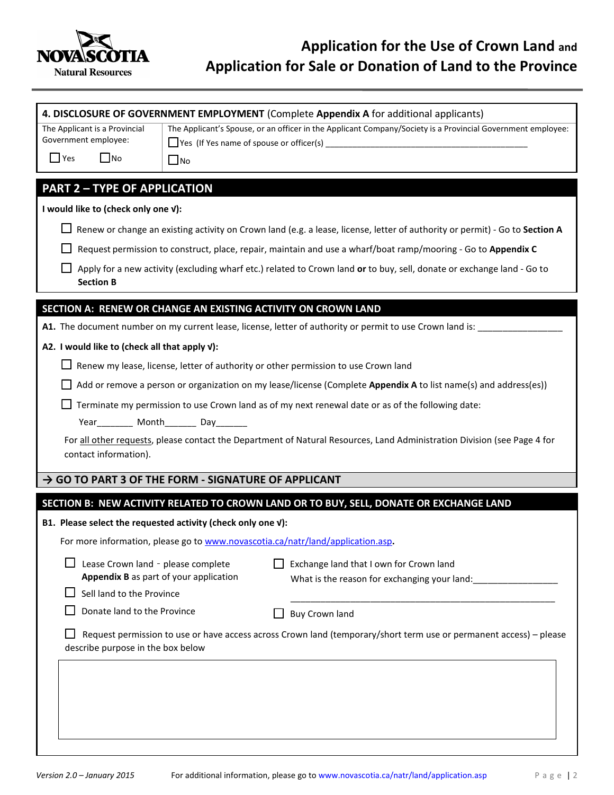

|                                                                                                                                                         |                                                                                                                          | 4. DISCLOSURE OF GOVERNMENT EMPLOYMENT (Complete Appendix A for additional applicants)                                      |  |  |  |  |  |
|---------------------------------------------------------------------------------------------------------------------------------------------------------|--------------------------------------------------------------------------------------------------------------------------|-----------------------------------------------------------------------------------------------------------------------------|--|--|--|--|--|
| The Applicant is a Provincial                                                                                                                           |                                                                                                                          | The Applicant's Spouse, or an officer in the Applicant Company/Society is a Provincial Government employee:                 |  |  |  |  |  |
| Government employee:                                                                                                                                    |                                                                                                                          | $\Box$ Yes (If Yes name of spouse or officer(s) $\Box$                                                                      |  |  |  |  |  |
| $\Box$ Yes<br>$\Box$ No                                                                                                                                 | $\Box$ No                                                                                                                |                                                                                                                             |  |  |  |  |  |
| <b>PART 2 - TYPE OF APPLICATION</b>                                                                                                                     |                                                                                                                          |                                                                                                                             |  |  |  |  |  |
| I would like to (check only one v):                                                                                                                     |                                                                                                                          |                                                                                                                             |  |  |  |  |  |
|                                                                                                                                                         |                                                                                                                          | Renew or change an existing activity on Crown land (e.g. a lease, license, letter of authority or permit) - Go to Section A |  |  |  |  |  |
|                                                                                                                                                         | Request permission to construct, place, repair, maintain and use a wharf/boat ramp/mooring - Go to Appendix C            |                                                                                                                             |  |  |  |  |  |
| <b>Section B</b>                                                                                                                                        | Apply for a new activity (excluding wharf etc.) related to Crown land or to buy, sell, donate or exchange land - Go to   |                                                                                                                             |  |  |  |  |  |
| SECTION A: RENEW OR CHANGE AN EXISTING ACTIVITY ON CROWN LAND                                                                                           |                                                                                                                          |                                                                                                                             |  |  |  |  |  |
|                                                                                                                                                         |                                                                                                                          | A1. The document number on my current lease, license, letter of authority or permit to use Crown land is: ____              |  |  |  |  |  |
| A2. I would like to (check all that apply V):                                                                                                           |                                                                                                                          |                                                                                                                             |  |  |  |  |  |
|                                                                                                                                                         |                                                                                                                          | Renew my lease, license, letter of authority or other permission to use Crown land                                          |  |  |  |  |  |
|                                                                                                                                                         |                                                                                                                          | Add or remove a person or organization on my lease/license (Complete Appendix A to list name(s) and address(es))            |  |  |  |  |  |
|                                                                                                                                                         |                                                                                                                          | Terminate my permission to use Crown land as of my next renewal date or as of the following date:                           |  |  |  |  |  |
| Year_________ Month________ Day_______                                                                                                                  |                                                                                                                          |                                                                                                                             |  |  |  |  |  |
|                                                                                                                                                         | For all other requests, please contact the Department of Natural Resources, Land Administration Division (see Page 4 for |                                                                                                                             |  |  |  |  |  |
| contact information).                                                                                                                                   |                                                                                                                          |                                                                                                                             |  |  |  |  |  |
| A GO TO PART 3 OF THE FORM - SIGNATURE OF APPLICANT                                                                                                     |                                                                                                                          |                                                                                                                             |  |  |  |  |  |
|                                                                                                                                                         |                                                                                                                          | SECTION B: NEW ACTIVITY RELATED TO CROWN LAND OR TO BUY, SELL, DONATE OR EXCHANGE LAND                                      |  |  |  |  |  |
| B1. Please select the requested activity (check only one v):                                                                                            |                                                                                                                          |                                                                                                                             |  |  |  |  |  |
|                                                                                                                                                         |                                                                                                                          | For more information, please go to www.novascotia.ca/natr/land/application.asp.                                             |  |  |  |  |  |
|                                                                                                                                                         |                                                                                                                          |                                                                                                                             |  |  |  |  |  |
| Lease Crown land - please complete<br>Appendix B as part of your application                                                                            |                                                                                                                          | Exchange land that I own for Crown land<br>What is the reason for exchanging your land:                                     |  |  |  |  |  |
| Sell land to the Province                                                                                                                               |                                                                                                                          |                                                                                                                             |  |  |  |  |  |
| Donate land to the Province                                                                                                                             |                                                                                                                          | <b>Buy Crown land</b>                                                                                                       |  |  |  |  |  |
| Request permission to use or have access across Crown land (temporary/short term use or permanent access) - please<br>describe purpose in the box below |                                                                                                                          |                                                                                                                             |  |  |  |  |  |
|                                                                                                                                                         |                                                                                                                          |                                                                                                                             |  |  |  |  |  |
|                                                                                                                                                         |                                                                                                                          |                                                                                                                             |  |  |  |  |  |
|                                                                                                                                                         |                                                                                                                          |                                                                                                                             |  |  |  |  |  |
|                                                                                                                                                         |                                                                                                                          |                                                                                                                             |  |  |  |  |  |
|                                                                                                                                                         |                                                                                                                          |                                                                                                                             |  |  |  |  |  |
|                                                                                                                                                         |                                                                                                                          |                                                                                                                             |  |  |  |  |  |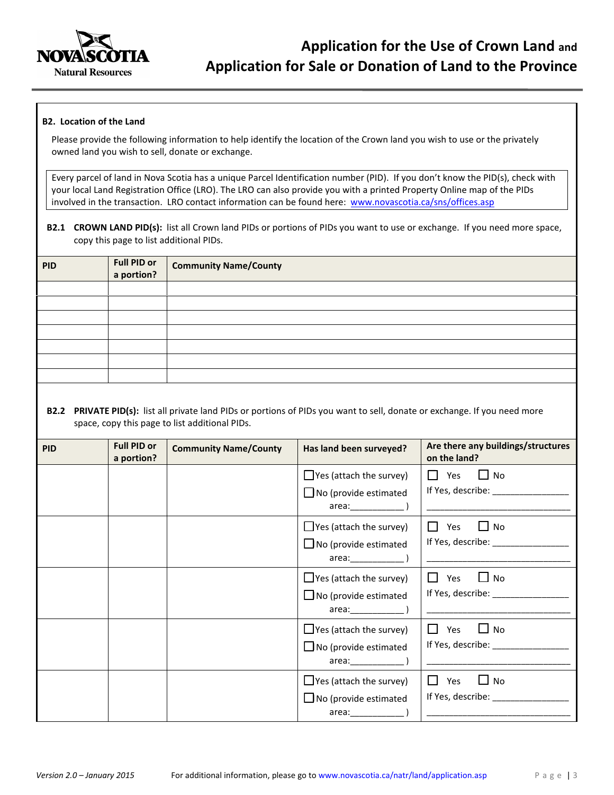

#### B2. Location of the Land

Please provide the following information to help identify the location of the Crown land you wish to use or the privately owned land you wish to sell, donate or exchange.

Every parcel of land in Nova Scotia has a unique Parcel Identification number (PID). If you don't know the PID(s), check with your local Land Registration Office (LRO). The LRO can also provide you with a printed Property Online map of the PIDs involved in the transaction. LRO contact information can be found here: www.novascotia.ca/sns/offices.asp

B2.1 CROWN LAND PID(s): list all Crown land PIDs or portions of PIDs you want to use or exchange. If you need more space, copy this page to list additional PIDs.

| <b>PID</b> | Full PID or<br>a portion? | <b>Community Name/County</b> |
|------------|---------------------------|------------------------------|
|            |                           |                              |
|            |                           |                              |
|            |                           |                              |
|            |                           |                              |
|            |                           |                              |
|            |                           |                              |
|            |                           |                              |
|            |                           |                              |

B2.2 PRIVATE PID(s): list all private land PIDs or portions of PIDs you want to sell, donate or exchange. If you need more space, copy this page to list additional PIDs.

| <b>PID</b> | <b>Full PID or</b><br>a portion? | <b>Community Name/County</b> | Has land been surveyed?                      | Are there any buildings/structures<br>on the land? |
|------------|----------------------------------|------------------------------|----------------------------------------------|----------------------------------------------------|
|            |                                  |                              | $\Box$ Yes (attach the survey)               | $\Box$ Yes<br>$\Box$ No                            |
|            |                                  |                              | $\Box$ No (provide estimated<br>area: (and ) |                                                    |
|            |                                  |                              | $\Box$ Yes (attach the survey)               | $\Box$ Yes<br>$\Box$ No                            |
|            |                                  |                              | $\Box$ No (provide estimated                 |                                                    |
|            |                                  |                              | $\Box$ Yes (attach the survey)               | $\Box$ Yes<br>∐ No                                 |
|            |                                  |                              | $\Box$ No (provide estimated                 | If Yes, describe: ________________                 |
|            |                                  |                              | $\Box$ Yes (attach the survey)               | $\Box$ Yes<br>$\Box$ No                            |
|            |                                  |                              | $\Box$ No (provide estimated                 | If Yes, describe: _________________                |
|            |                                  |                              | $\Box$ Yes (attach the survey)               | $\mathsf{L}$<br>Yes<br>$\Box$ No                   |
|            |                                  |                              | $\Box$ No (provide estimated<br>area: (and ) | If Yes, describe: 1990                             |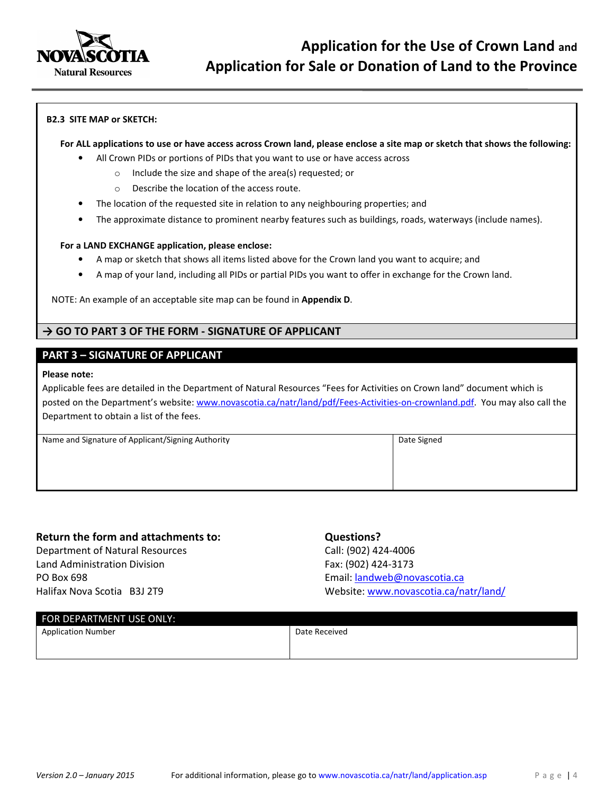

#### B2.3 SITE MAP or SKETCH:

### For ALL applications to use or have access across Crown land, please enclose a site map or sketch that shows the following:

- All Crown PIDs or portions of PIDs that you want to use or have access across
	- o Include the size and shape of the area(s) requested; or
	- o Describe the location of the access route.
- The location of the requested site in relation to any neighbouring properties; and
- The approximate distance to prominent nearby features such as buildings, roads, waterways (include names).

#### For a LAND EXCHANGE application, please enclose:

- A map or sketch that shows all items listed above for the Crown land you want to acquire; and
- A map of your land, including all PIDs or partial PIDs you want to offer in exchange for the Crown land.

NOTE: An example of an acceptable site map can be found in Appendix D.

### $\rightarrow$  GO TO PART 3 OF THE FORM - SIGNATURE OF APPLICANT

### PART 3 – SIGNATURE OF APPLICANT

#### Please note:

Applicable fees are detailed in the Department of Natural Resources "Fees for Activities on Crown land" document which is posted on the Department's website: www.novascotia.ca/natr/land/pdf/Fees-Activities-on-crownland.pdf. You may also call the Department to obtain a list of the fees.

| Name and Signature of Applicant/Signing Authority | Date Signed |
|---------------------------------------------------|-------------|
|                                                   |             |
|                                                   |             |
|                                                   |             |

### Return the form and attachments to:

Department of Natural Resources Land Administration Division PO Box 698 Halifax Nova Scotia B3J 2T9

### Questions?

Call: (902) 424-4006 Fax: (902) 424-3173 Email: landweb@novascotia.ca Website: www.novascotia.ca/natr/land/

| FOR DEPARTMENT USE ONLY:  |               |  |  |  |  |
|---------------------------|---------------|--|--|--|--|
| <b>Application Number</b> | Date Received |  |  |  |  |
|                           |               |  |  |  |  |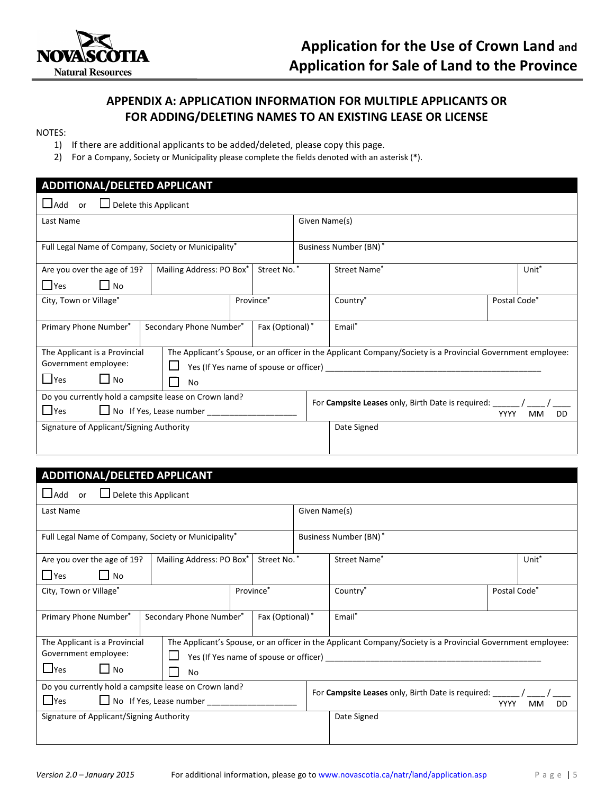

### APPENDIX A: APPLICATION INFORMATION FOR MULTIPLE APPLICANTS OR FOR ADDING/DELETING NAMES TO AN EXISTING LEASE OR LICENSE

#### NOTES:

- 1) If there are additional applicants to be added/deleted, please copy this page.
- 2) For a Company, Society or Municipality please complete the fields denoted with an asterisk (\*).

### ADDITIONAL/DELETED APPLICANT ❏Add or ❏ Delete this Applicant Last Name Given Name(s) Full Legal Name of Company, Society or Municipality\* Business Number (BN) \* Are you over the age of 19? ❏Yes ❏ No Mailing Address: PO Box\* | Street No. \* | Street Name\* Unit\* City, Town or Village\* Province\* Province\* Country\* Postal Code\* Primary Phone Number\* | Secondary Phone Number\* | Fax (Optional) \* | Email\* The Applicant is a Provincial Government employee: ❏Yes ❏ No The Applicant's Spouse, or an officer in the Applicant Company/Society is a Provincial Government employee:  $\Box$  Yes (If Yes name of spouse or officer) ❏ No Do you currently hold a campsite lease on Crown land?  $\Box$  Yes  $\Box$  No If Yes, Lease number For Campsite Leases only, Birth Date is required: YYYY MM DD Signature of Applicant/Signing Authority Date Signed

### ADDITIONAL/DELETED APPLICANT

| $\Box$ Add<br>Delete this Applicant<br>or                                                                                                                                                             |                                                                                            |             |                                   |  |  |
|-------------------------------------------------------------------------------------------------------------------------------------------------------------------------------------------------------|--------------------------------------------------------------------------------------------|-------------|-----------------------------------|--|--|
| Last Name                                                                                                                                                                                             | Given Name(s)                                                                              |             |                                   |  |  |
| Full Legal Name of Company, Society or Municipality*                                                                                                                                                  | Business Number (BN)*                                                                      |             |                                   |  |  |
| Street No.*<br>Mailing Address: PO Box*<br>Are you over the age of 19?<br>$\blacksquare$ Yes<br>$\Box$ No                                                                                             |                                                                                            |             | Street Name*<br>Unit <sup>*</sup> |  |  |
| Province*<br>City, Town or Village*                                                                                                                                                                   |                                                                                            |             | Country*<br>Postal Code*          |  |  |
| Secondary Phone Number*<br>Fax (Optional)*<br>Primary Phone Number*                                                                                                                                   |                                                                                            |             | Email*                            |  |  |
| The Applicant's Spouse, or an officer in the Applicant Company/Society is a Provincial Government employee:<br>The Applicant is a Provincial<br>Government employee:<br>$\Box$ Yes<br>$\Box$ No<br>No |                                                                                            |             |                                   |  |  |
| Do you currently hold a campsite lease on Crown land?<br>l lyes<br>No If Yes, Lease number                                                                                                            | For <b>Campsite Leases</b> only, Birth Date is required:<br><b>YYYY</b><br>DD<br><b>MM</b> |             |                                   |  |  |
| Signature of Applicant/Signing Authority                                                                                                                                                              |                                                                                            | Date Signed |                                   |  |  |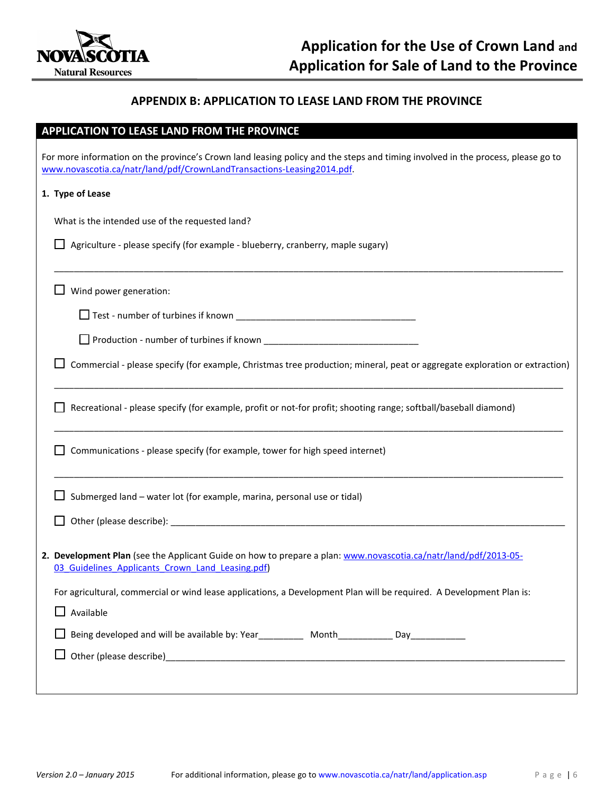

### APPENDIX B: APPLICATION TO LEASE LAND FROM THE PROVINCE

### APPLICATION TO LEASE LAND FROM THE PROVINCE

| For more information on the province's Crown land leasing policy and the steps and timing involved in the process, please go to<br>www.novascotia.ca/natr/land/pdf/CrownLandTransactions-Leasing2014.pdf. |
|-----------------------------------------------------------------------------------------------------------------------------------------------------------------------------------------------------------|
| 1. Type of Lease                                                                                                                                                                                          |
| What is the intended use of the requested land?                                                                                                                                                           |
| Agriculture - please specify (for example - blueberry, cranberry, maple sugary)                                                                                                                           |
| Wind power generation:                                                                                                                                                                                    |
|                                                                                                                                                                                                           |
|                                                                                                                                                                                                           |
| Commercial - please specify (for example, Christmas tree production; mineral, peat or aggregate exploration or extraction)                                                                                |
| Recreational - please specify (for example, profit or not-for profit; shooting range; softball/baseball diamond)                                                                                          |
| Communications - please specify (for example, tower for high speed internet)                                                                                                                              |
| Submerged land - water lot (for example, marina, personal use or tidal)                                                                                                                                   |
|                                                                                                                                                                                                           |
| 2. Development Plan (see the Applicant Guide on how to prepare a plan: www.novascotia.ca/natr/land/pdf/2013-05-<br>03 Guidelines Applicants Crown Land Leasing.pdf)                                       |
| For agricultural, commercial or wind lease applications, a Development Plan will be required. A Development Plan is:                                                                                      |
| Available                                                                                                                                                                                                 |
|                                                                                                                                                                                                           |
|                                                                                                                                                                                                           |
|                                                                                                                                                                                                           |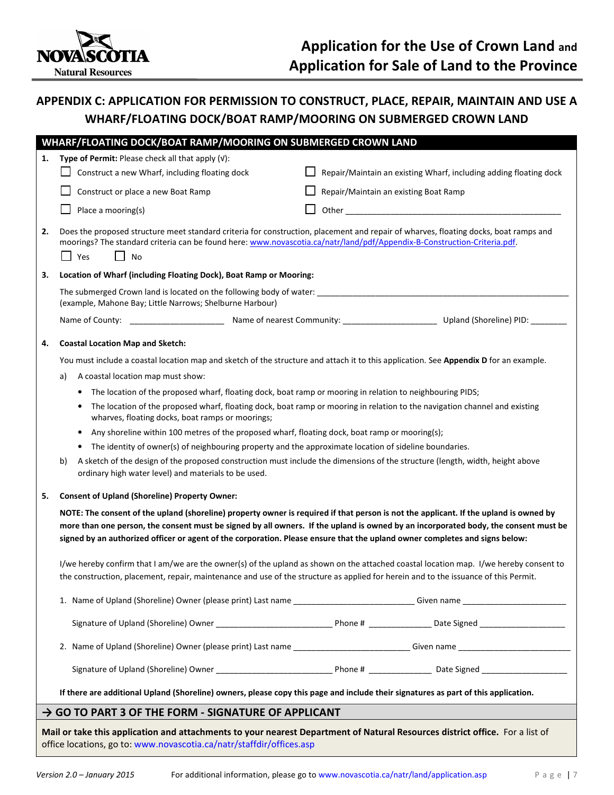

## APPENDIX C: APPLICATION FOR PERMISSION TO CONSTRUCT, PLACE, REPAIR, MAINTAIN AND USE A WHARF/FLOATING DOCK/BOAT RAMP/MOORING ON SUBMERGED CROWN LAND

|    | WHARF/FLOATING DOCK/BOAT RAMP/MOORING ON SUBMERGED CROWN LAND                                                                                                                                                                                                                                                                                                                                                                                                                                                                                        |                                                                   |  |  |  |  |
|----|------------------------------------------------------------------------------------------------------------------------------------------------------------------------------------------------------------------------------------------------------------------------------------------------------------------------------------------------------------------------------------------------------------------------------------------------------------------------------------------------------------------------------------------------------|-------------------------------------------------------------------|--|--|--|--|
| 1. | Type of Permit: Please check all that apply $(v)$ :                                                                                                                                                                                                                                                                                                                                                                                                                                                                                                  |                                                                   |  |  |  |  |
|    | Construct a new Wharf, including floating dock                                                                                                                                                                                                                                                                                                                                                                                                                                                                                                       | Repair/Maintain an existing Wharf, including adding floating dock |  |  |  |  |
|    | Construct or place a new Boat Ramp                                                                                                                                                                                                                                                                                                                                                                                                                                                                                                                   | Repair/Maintain an existing Boat Ramp                             |  |  |  |  |
|    | Place a mooring(s)                                                                                                                                                                                                                                                                                                                                                                                                                                                                                                                                   |                                                                   |  |  |  |  |
| 2. | Does the proposed structure meet standard criteria for construction, placement and repair of wharves, floating docks, boat ramps and<br>moorings? The standard criteria can be found here: www.novascotia.ca/natr/land/pdf/Appendix-B-Construction-Criteria.pdf.<br>$\Box$ Yes<br>No                                                                                                                                                                                                                                                                 |                                                                   |  |  |  |  |
| 3. | Location of Wharf (including Floating Dock), Boat Ramp or Mooring:                                                                                                                                                                                                                                                                                                                                                                                                                                                                                   |                                                                   |  |  |  |  |
|    | (example, Mahone Bay; Little Narrows; Shelburne Harbour)                                                                                                                                                                                                                                                                                                                                                                                                                                                                                             |                                                                   |  |  |  |  |
|    |                                                                                                                                                                                                                                                                                                                                                                                                                                                                                                                                                      |                                                                   |  |  |  |  |
| 4. | <b>Coastal Location Map and Sketch:</b>                                                                                                                                                                                                                                                                                                                                                                                                                                                                                                              |                                                                   |  |  |  |  |
|    | You must include a coastal location map and sketch of the structure and attach it to this application. See Appendix D for an example.                                                                                                                                                                                                                                                                                                                                                                                                                |                                                                   |  |  |  |  |
|    | A coastal location map must show:<br>a)                                                                                                                                                                                                                                                                                                                                                                                                                                                                                                              |                                                                   |  |  |  |  |
|    | The location of the proposed wharf, floating dock, boat ramp or mooring in relation to neighbouring PIDS;<br>$\bullet$                                                                                                                                                                                                                                                                                                                                                                                                                               |                                                                   |  |  |  |  |
|    | The location of the proposed wharf, floating dock, boat ramp or mooring in relation to the navigation channel and existing<br>٠<br>wharves, floating docks, boat ramps or moorings;                                                                                                                                                                                                                                                                                                                                                                  |                                                                   |  |  |  |  |
|    | Any shoreline within 100 metres of the proposed wharf, floating dock, boat ramp or mooring(s);<br>٠                                                                                                                                                                                                                                                                                                                                                                                                                                                  |                                                                   |  |  |  |  |
|    | The identity of owner(s) of neighbouring property and the approximate location of sideline boundaries.<br>$\bullet$                                                                                                                                                                                                                                                                                                                                                                                                                                  |                                                                   |  |  |  |  |
|    | A sketch of the design of the proposed construction must include the dimensions of the structure (length, width, height above<br>b)<br>ordinary high water level) and materials to be used.                                                                                                                                                                                                                                                                                                                                                          |                                                                   |  |  |  |  |
| 5. | <b>Consent of Upland (Shoreline) Property Owner:</b>                                                                                                                                                                                                                                                                                                                                                                                                                                                                                                 |                                                                   |  |  |  |  |
|    | NOTE: The consent of the upland (shoreline) property owner is required if that person is not the applicant. If the upland is owned by<br>more than one person, the consent must be signed by all owners. If the upland is owned by an incorporated body, the consent must be<br>signed by an authorized officer or agent of the corporation. Please ensure that the upland owner completes and signs below:<br>I/we hereby confirm that I am/we are the owner(s) of the upland as shown on the attached coastal location map. I/we hereby consent to |                                                                   |  |  |  |  |
|    | the construction, placement, repair, maintenance and use of the structure as applied for herein and to the issuance of this Permit.                                                                                                                                                                                                                                                                                                                                                                                                                  |                                                                   |  |  |  |  |
|    |                                                                                                                                                                                                                                                                                                                                                                                                                                                                                                                                                      |                                                                   |  |  |  |  |
|    |                                                                                                                                                                                                                                                                                                                                                                                                                                                                                                                                                      |                                                                   |  |  |  |  |
|    |                                                                                                                                                                                                                                                                                                                                                                                                                                                                                                                                                      |                                                                   |  |  |  |  |
|    |                                                                                                                                                                                                                                                                                                                                                                                                                                                                                                                                                      |                                                                   |  |  |  |  |
|    | If there are additional Upland (Shoreline) owners, please copy this page and include their signatures as part of this application.                                                                                                                                                                                                                                                                                                                                                                                                                   |                                                                   |  |  |  |  |
|    | $\rightarrow$ GO TO PART 3 OF THE FORM - SIGNATURE OF APPLICANT                                                                                                                                                                                                                                                                                                                                                                                                                                                                                      |                                                                   |  |  |  |  |
|    | Mail or take this application and attachments to your nearest Department of Natural Resources district office. For a list of                                                                                                                                                                                                                                                                                                                                                                                                                         |                                                                   |  |  |  |  |

office locations, go to: www.novascotia.ca/natr/staffdir/offices.asp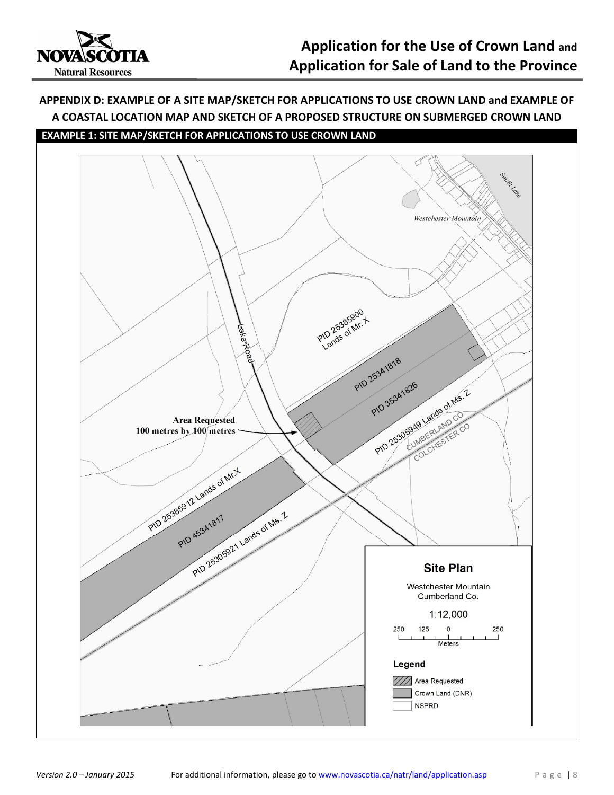

## APPENDIX D: EXAMPLE OF A SITE MAP/SKETCH FOR APPLICATIONS TO USE CROWN LAND and EXAMPLE OF A COASTAL LOCATION MAP AND SKETCH OF A PROPOSED STRUCTURE ON SUBMERGED CROWN LAND

### EXAMPLE 1: SITE MAP/SKETCH FOR APPLICATIONS TO USE CROWN LAND